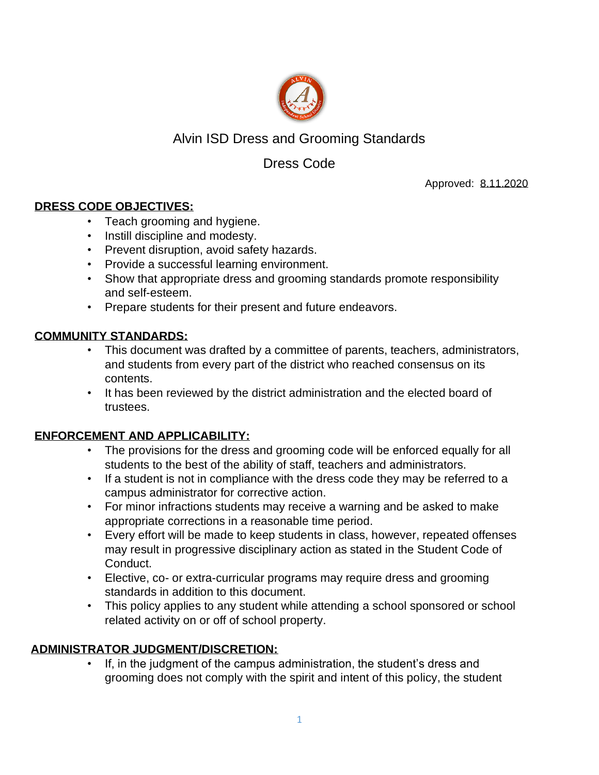

# Alvin ISD Dress and Grooming Standards

# Dress Code

Approved: 8.11.2020

## **DRESS CODE OBJECTIVES:**

- Teach grooming and hygiene.
- Instill discipline and modesty.
- Prevent disruption, avoid safety hazards.
- Provide a successful learning environment.
- Show that appropriate dress and grooming standards promote responsibility and self-esteem.
- Prepare students for their present and future endeavors.

# **COMMUNITY STANDARDS:**

- This document was drafted by a committee of parents, teachers, administrators, and students from every part of the district who reached consensus on its contents.
- It has been reviewed by the district administration and the elected board of trustees.

## **ENFORCEMENT AND APPLICABILITY:**

- The provisions for the dress and grooming code will be enforced equally for all students to the best of the ability of staff, teachers and administrators.
- If a student is not in compliance with the dress code they may be referred to a campus administrator for corrective action.
- For minor infractions students may receive a warning and be asked to make appropriate corrections in a reasonable time period.
- Every effort will be made to keep students in class, however, repeated offenses may result in progressive disciplinary action as stated in the Student Code of Conduct.
- Elective, co- or extra-curricular programs may require dress and grooming standards in addition to this document.
- This policy applies to any student while attending a school sponsored or school related activity on or off of school property.

# **ADMINISTRATOR JUDGMENT/DISCRETION:**

If, in the judgment of the campus administration, the student's dress and grooming does not comply with the spirit and intent of this policy, the student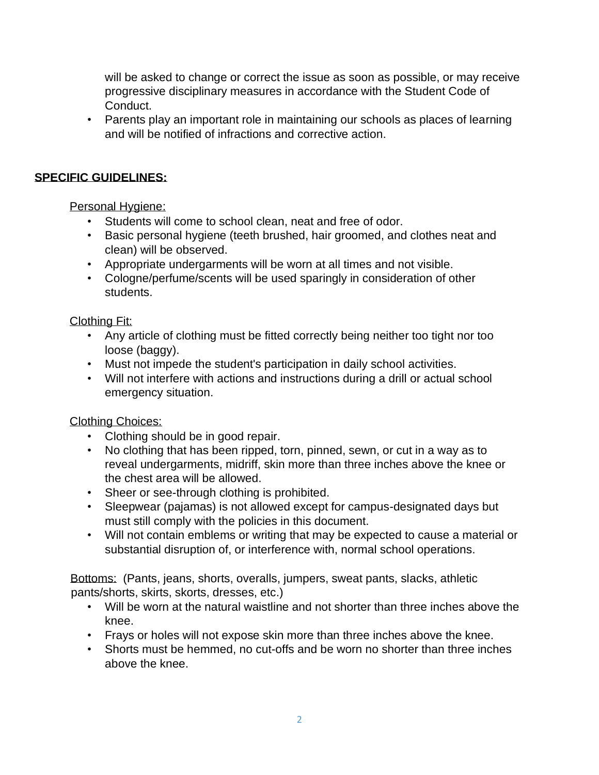will be asked to change or correct the issue as soon as possible, or may receive progressive disciplinary measures in accordance with the Student Code of Conduct.

• Parents play an important role in maintaining our schools as places of learning and will be notified of infractions and corrective action.

#### **SPECIFIC GUIDELINES:**

Personal Hygiene:

- Students will come to school clean, neat and free of odor.
- Basic personal hygiene (teeth brushed, hair groomed, and clothes neat and clean) will be observed.
- Appropriate undergarments will be worn at all times and not visible.
- Cologne/perfume/scents will be used sparingly in consideration of other students.

#### Clothing Fit:

- Any article of clothing must be fitted correctly being neither too tight nor too loose (baggy).
- Must not impede the student's participation in daily school activities.
- Will not interfere with actions and instructions during a drill or actual school emergency situation.

#### Clothing Choices:

- Clothing should be in good repair.
- No clothing that has been ripped, torn, pinned, sewn, or cut in a way as to reveal undergarments, midriff, skin more than three inches above the knee or the chest area will be allowed.
- Sheer or see-through clothing is prohibited.
- Sleepwear (pajamas) is not allowed except for campus-designated days but must still comply with the policies in this document.
- Will not contain emblems or writing that may be expected to cause a material or substantial disruption of, or interference with, normal school operations.

Bottoms: (Pants, jeans, shorts, overalls, jumpers, sweat pants, slacks, athletic pants/shorts, skirts, skorts, dresses, etc.)

- Will be worn at the natural waistline and not shorter than three inches above the knee.
- Frays or holes will not expose skin more than three inches above the knee.
- Shorts must be hemmed, no cut-offs and be worn no shorter than three inches above the knee.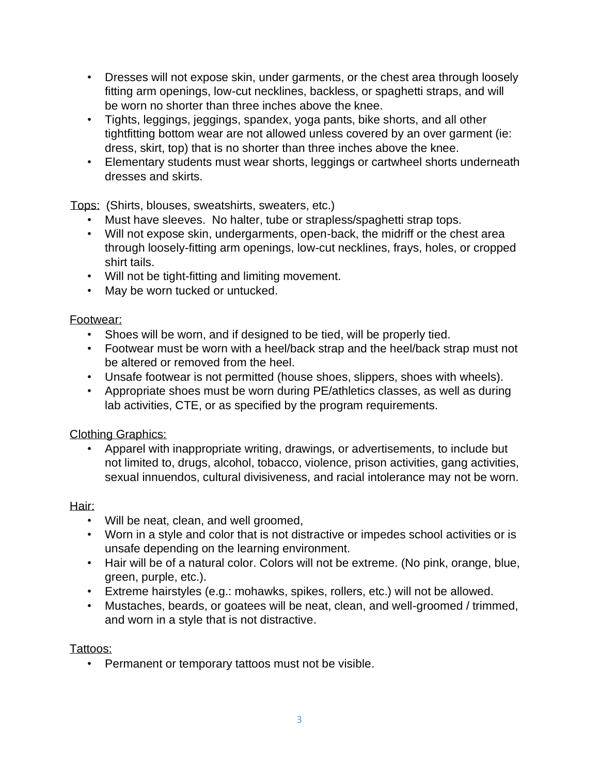- Dresses will not expose skin, under garments, or the chest area through loosely fitting arm openings, low-cut necklines, backless, or spaghetti straps, and will be worn no shorter than three inches above the knee.
- Tights, leggings, jeggings, spandex, yoga pants, bike shorts, and all other tightfitting bottom wear are not allowed unless covered by an over garment (ie: dress, skirt, top) that is no shorter than three inches above the knee.
- Elementary students must wear shorts, leggings or cartwheel shorts underneath dresses and skirts.

Tops: (Shirts, blouses, sweatshirts, sweaters, etc.)

- Must have sleeves. No halter, tube or strapless/spaghetti strap tops.
- Will not expose skin, undergarments, open-back, the midriff or the chest area through loosely-fitting arm openings, low-cut necklines, frays, holes, or cropped shirt tails.
- Will not be tight-fitting and limiting movement.
- May be worn tucked or untucked.

# Footwear:

- Shoes will be worn, and if designed to be tied, will be properly tied.
- Footwear must be worn with a heel/back strap and the heel/back strap must not be altered or removed from the heel.
- Unsafe footwear is not permitted (house shoes, slippers, shoes with wheels).
- Appropriate shoes must be worn during PE/athletics classes, as well as during lab activities, CTE, or as specified by the program requirements.

## Clothing Graphics:

• Apparel with inappropriate writing, drawings, or advertisements, to include but not limited to, drugs, alcohol, tobacco, violence, prison activities, gang activities, sexual innuendos, cultural divisiveness, and racial intolerance may not be worn.

## Hair:

- Will be neat, clean, and well groomed,
- Worn in a style and color that is not distractive or impedes school activities or is unsafe depending on the learning environment.
- Hair will be of a natural color. Colors will not be extreme. (No pink, orange, blue, green, purple, etc.).
- Extreme hairstyles (e.g.: mohawks, spikes, rollers, etc.) will not be allowed.
- Mustaches, beards, or goatees will be neat, clean, and well-groomed / trimmed, and worn in a style that is not distractive.

Tattoos:

• Permanent or temporary tattoos must not be visible.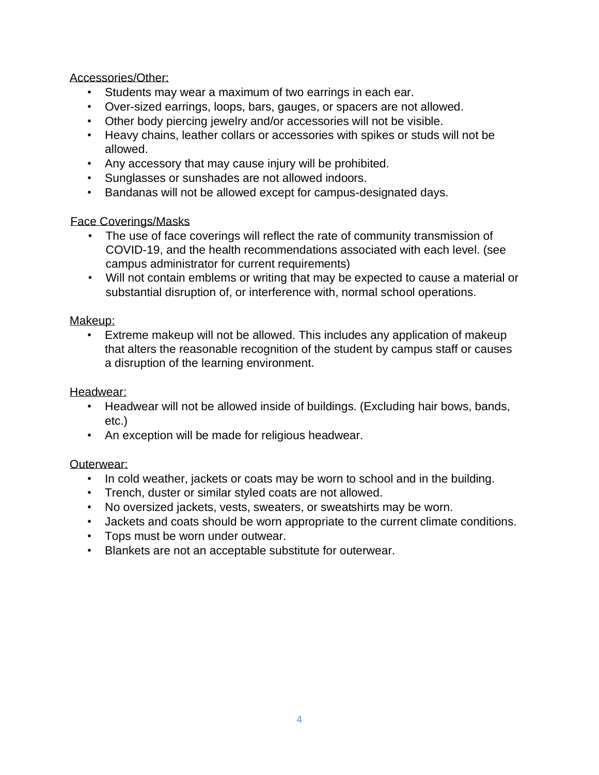#### Accessories/Other:

- Students may wear a maximum of two earrings in each ear.
- Over-sized earrings, loops, bars, gauges, or spacers are not allowed.
- Other body piercing jewelry and/or accessories will not be visible.
- Heavy chains, leather collars or accessories with spikes or studs will not be allowed.
- Any accessory that may cause injury will be prohibited.
- Sunglasses or sunshades are not allowed indoors.
- Bandanas will not be allowed except for campus-designated days.

## Face Coverings/Masks

- The use of face coverings will reflect the rate of community transmission of COVID-19, and the health recommendations associated with each level. (see campus administrator for current requirements)
- Will not contain emblems or writing that may be expected to cause a material or substantial disruption of, or interference with, normal school operations.

# Makeup:

• Extreme makeup will not be allowed. This includes any application of makeup that alters the reasonable recognition of the student by campus staff or causes a disruption of the learning environment.

## Headwear:

- Headwear will not be allowed inside of buildings. (Excluding hair bows, bands, etc.)
- An exception will be made for religious headwear.

# Outerwear:

- In cold weather, jackets or coats may be worn to school and in the building.
- Trench, duster or similar styled coats are not allowed.
- No oversized jackets, vests, sweaters, or sweatshirts may be worn.
- Jackets and coats should be worn appropriate to the current climate conditions.
- Tops must be worn under outwear.
- Blankets are not an acceptable substitute for outerwear.